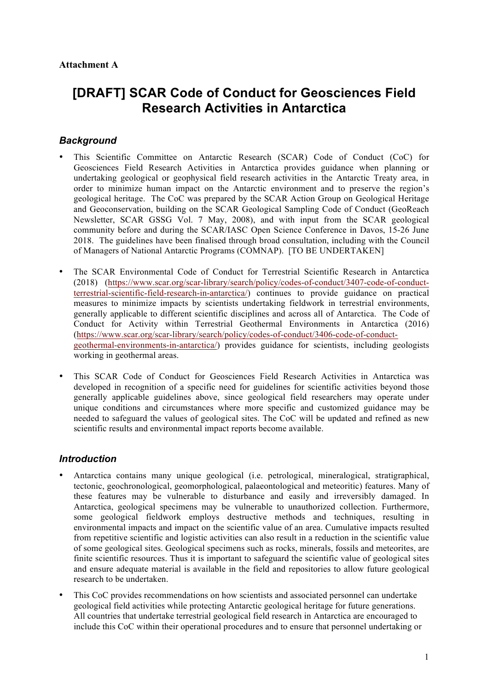# **[DRAFT] SCAR Code of Conduct for Geosciences Field Research Activities in Antarctica**

# *Background*

- This Scientific Committee on Antarctic Research (SCAR) Code of Conduct (CoC) for Geosciences Field Research Activities in Antarctica provides guidance when planning or undertaking geological or geophysical field research activities in the Antarctic Treaty area, in order to minimize human impact on the Antarctic environment and to preserve the region's geological heritage. The CoC was prepared by the SCAR Action Group on Geological Heritage and Geoconservation, building on the SCAR Geological Sampling Code of Conduct (GeoReach Newsletter, SCAR GSSG Vol. 7 May, 2008), and with input from the SCAR geological community before and during the SCAR/IASC Open Science Conference in Davos, 15-26 June 2018. The guidelines have been finalised through broad consultation, including with the Council of Managers of National Antarctic Programs (COMNAP). [TO BE UNDERTAKEN]
- The SCAR Environmental Code of Conduct for Terrestrial Scientific Research in Antarctica (2018) (https://www.scar.org/scar-library/search/policy/codes-of-conduct/3407-code-of-conductterrestrial-scientific-field-research-in-antarctica/) continues to provide guidance on practical measures to minimize impacts by scientists undertaking fieldwork in terrestrial environments, generally applicable to different scientific disciplines and across all of Antarctica. The Code of Conduct for Activity within Terrestrial Geothermal Environments in Antarctica (2016) (https://www.scar.org/scar-library/search/policy/codes-of-conduct/3406-code-of-conductgeothermal-environments-in-antarctica/) provides guidance for scientists, including geologists working in geothermal areas.
- This SCAR Code of Conduct for Geosciences Field Research Activities in Antarctica was developed in recognition of a specific need for guidelines for scientific activities beyond those generally applicable guidelines above, since geological field researchers may operate under unique conditions and circumstances where more specific and customized guidance may be needed to safeguard the values of geological sites. The CoC will be updated and refined as new scientific results and environmental impact reports become available.

# *Introduction*

- Antarctica contains many unique geological (i.e. petrological, mineralogical, stratigraphical, tectonic, geochronological, geomorphological, palaeontological and meteoritic) features. Many of these features may be vulnerable to disturbance and easily and irreversibly damaged. In Antarctica, geological specimens may be vulnerable to unauthorized collection. Furthermore, some geological fieldwork employs destructive methods and techniques, resulting in environmental impacts and impact on the scientific value of an area. Cumulative impacts resulted from repetitive scientific and logistic activities can also result in a reduction in the scientific value of some geological sites. Geological specimens such as rocks, minerals, fossils and meteorites, are finite scientific resources. Thus it is important to safeguard the scientific value of geological sites and ensure adequate material is available in the field and repositories to allow future geological research to be undertaken.
- This CoC provides recommendations on how scientists and associated personnel can undertake geological field activities while protecting Antarctic geological heritage for future generations. All countries that undertake terrestrial geological field research in Antarctica are encouraged to include this CoC within their operational procedures and to ensure that personnel undertaking or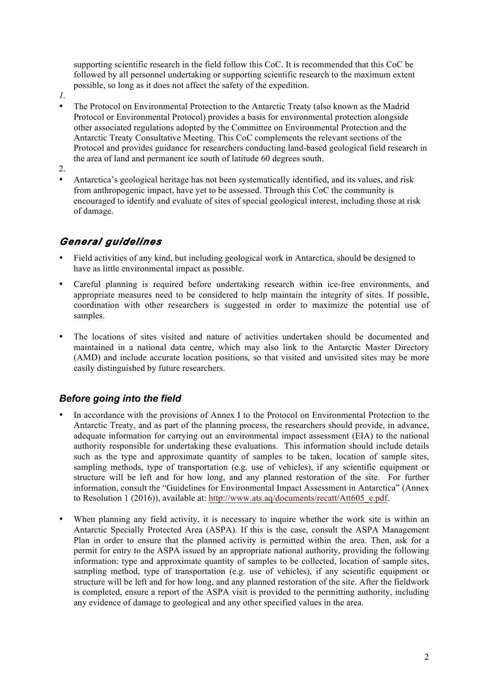supporting scientific research in the field follow this CoC. It is recommended that this CoC be followed by all personnel undertaking or supporting scientific research to the maximum extent possible, so long as it does not affect the safety of the expedition.

- *1.*
	- The Protocol on Environmental Protection to the Antarctic Treaty (also known as the Madrid Protocol or Environmental Protocol) provides a basis for environmental protection alongside other associated regulations adopted by the Committee on Environmental Protection and the Antarctic Treaty Consultative Meeting. This CoC complements the relevant sections of the Protocol and provides guidance for researchers conducting land-based geological field research in the area of land and permanent ice south of latitude 60 degrees south.
- 2.
- Antarctica's geological heritage has not been systematically identified, and its values, and risk from anthropogenic impact, have yet to be assessed. Through this CoC the community is encouraged to identify and evaluate of sites of special geological interest, including those at risk of damage.

# *General guidelines*

- Field activities of any kind, but including geological work in Antarctica, should be designed to have as little environmental impact as possible.
- Careful planning is required before undertaking research within ice-free environments, and appropriate measures need to be considered to help maintain the integrity of sites. If possible, coordination with other researchers is suggested in order to maximize the potential use of samples.
- The locations of sites visited and nature of activities undertaken should be documented and maintained in a national data centre, which may also link to the Antarctic Master Directory (AMD) and include accurate location positions, so that visited and unvisited sites may be more easily distinguished by future researchers.

# *Before going into the field*

- In accordance with the provisions of Annex I to the Protocol on Environmental Protection to the Antarctic Treaty, and as part of the planning process, the researchers should provide, in advance, adequate information for carrying out an environmental impact assessment (EIA) to the national authority responsible for undertaking these evaluations. This information should include details such as the type and approximate quantity of samples to be taken, location of sample sites, sampling methods, type of transportation (e.g. use of vehicles), if any scientific equipment or structure will be left and for how long, and any planned restoration of the site. For further information, consult the "Guidelines for Environmental Impact Assessment in Antarctica" (Annex to Resolution 1 (2016)), available at: http://www.ats.aq/documents/recatt/Att605\_e.pdf.
- When planning any field activity, it is necessary to inquire whether the work site is within an Antarctic Specially Protected Area (ASPA). If this is the case, consult the ASPA Management Plan in order to ensure that the planned activity is permitted within the area. Then, ask for a permit for entry to the ASPA issued by an appropriate national authority, providing the following information: type and approximate quantity of samples to be collected, location of sample sites, sampling method, type of transportation (e.g. use of vehicles), if any scientific equipment or structure will be left and for how long, and any planned restoration of the site. After the fieldwork is completed, ensure a report of the ASPA visit is provided to the permitting authority, including any evidence of damage to geological and any other specified values in the area.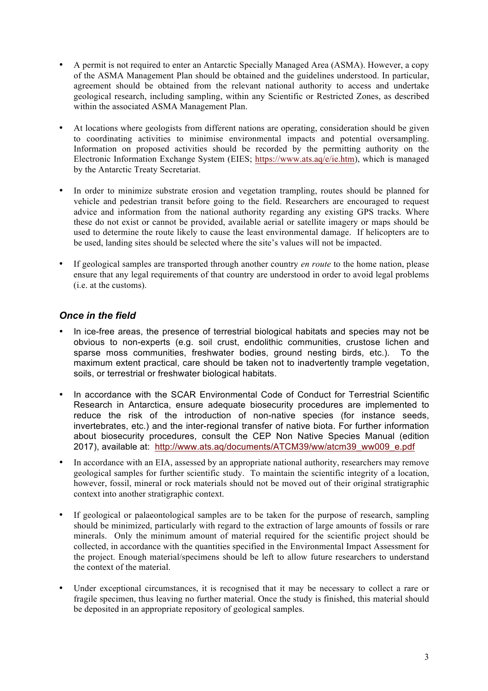- A permit is not required to enter an Antarctic Specially Managed Area (ASMA). However, a copy of the ASMA Management Plan should be obtained and the guidelines understood. In particular, agreement should be obtained from the relevant national authority to access and undertake geological research, including sampling, within any Scientific or Restricted Zones, as described within the associated ASMA Management Plan.
- At locations where geologists from different nations are operating, consideration should be given to coordinating activities to minimise environmental impacts and potential oversampling. Information on proposed activities should be recorded by the permitting authority on the Electronic Information Exchange System (EIES; https://www.ats.aq/e/ie.htm), which is managed by the Antarctic Treaty Secretariat.
- In order to minimize substrate erosion and vegetation trampling, routes should be planned for vehicle and pedestrian transit before going to the field. Researchers are encouraged to request advice and information from the national authority regarding any existing GPS tracks. Where these do not exist or cannot be provided, available aerial or satellite imagery or maps should be used to determine the route likely to cause the least environmental damage. If helicopters are to be used, landing sites should be selected where the site's values will not be impacted.
- If geological samples are transported through another country *en route* to the home nation, please ensure that any legal requirements of that country are understood in order to avoid legal problems (i.e. at the customs).

### *Once in the field*

- In ice-free areas, the presence of terrestrial biological habitats and species may not be obvious to non-experts (e.g. soil crust, endolithic communities, crustose lichen and sparse moss communities, freshwater bodies, ground nesting birds, etc.). To the maximum extent practical, care should be taken not to inadvertently trample vegetation, soils, or terrestrial or freshwater biological habitats.
- In accordance with the SCAR Environmental Code of Conduct for Terrestrial Scientific Research in Antarctica, ensure adequate biosecurity procedures are implemented to reduce the risk of the introduction of non-native species (for instance seeds, invertebrates, etc.) and the inter-regional transfer of native biota. For further information about biosecurity procedures, consult the CEP Non Native Species Manual (edition 2017), available at: http://www.ats.aq/documents/ATCM39/ww/atcm39\_ww009\_e.pdf
- In accordance with an EIA, assessed by an appropriate national authority, researchers may remove geological samples for further scientific study. To maintain the scientific integrity of a location, however, fossil, mineral or rock materials should not be moved out of their original stratigraphic context into another stratigraphic context.
- If geological or palaeontological samples are to be taken for the purpose of research, sampling should be minimized, particularly with regard to the extraction of large amounts of fossils or rare minerals. Only the minimum amount of material required for the scientific project should be collected, in accordance with the quantities specified in the Environmental Impact Assessment for the project. Enough material/specimens should be left to allow future researchers to understand the context of the material.
- Under exceptional circumstances, it is recognised that it may be necessary to collect a rare or fragile specimen, thus leaving no further material. Once the study is finished, this material should be deposited in an appropriate repository of geological samples.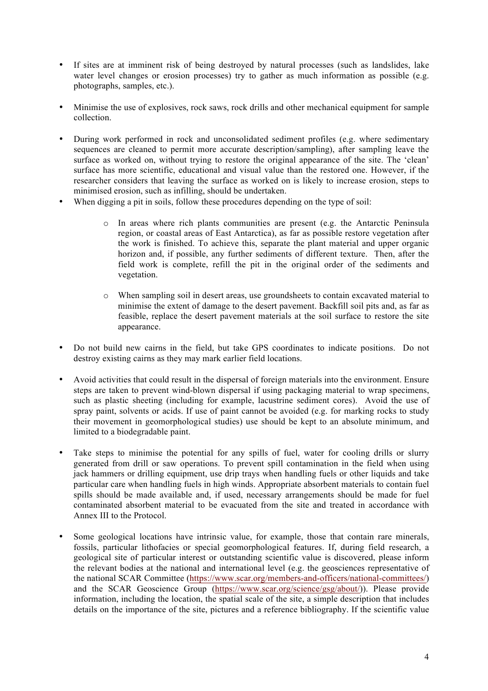- If sites are at imminent risk of being destroyed by natural processes (such as landslides, lake water level changes or erosion processes) try to gather as much information as possible (e.g. photographs, samples, etc.).
- Minimise the use of explosives, rock saws, rock drills and other mechanical equipment for sample collection.
- During work performed in rock and unconsolidated sediment profiles (e.g. where sedimentary sequences are cleaned to permit more accurate description/sampling), after sampling leave the surface as worked on, without trying to restore the original appearance of the site. The 'clean' surface has more scientific, educational and visual value than the restored one. However, if the researcher considers that leaving the surface as worked on is likely to increase erosion, steps to minimised erosion, such as infilling, should be undertaken.
- When digging a pit in soils, follow these procedures depending on the type of soil:
	- o In areas where rich plants communities are present (e.g. the Antarctic Peninsula region, or coastal areas of East Antarctica), as far as possible restore vegetation after the work is finished. To achieve this, separate the plant material and upper organic horizon and, if possible, any further sediments of different texture. Then, after the field work is complete, refill the pit in the original order of the sediments and vegetation.
	- o When sampling soil in desert areas, use groundsheets to contain excavated material to minimise the extent of damage to the desert pavement. Backfill soil pits and, as far as feasible, replace the desert pavement materials at the soil surface to restore the site appearance.
- Do not build new cairns in the field, but take GPS coordinates to indicate positions. Do not destroy existing cairns as they may mark earlier field locations.
- Avoid activities that could result in the dispersal of foreign materials into the environment. Ensure steps are taken to prevent wind-blown dispersal if using packaging material to wrap specimens, such as plastic sheeting (including for example, lacustrine sediment cores). Avoid the use of spray paint, solvents or acids. If use of paint cannot be avoided (e.g. for marking rocks to study their movement in geomorphological studies) use should be kept to an absolute minimum, and limited to a biodegradable paint.
- Take steps to minimise the potential for any spills of fuel, water for cooling drills or slurry generated from drill or saw operations. To prevent spill contamination in the field when using jack hammers or drilling equipment, use drip trays when handling fuels or other liquids and take particular care when handling fuels in high winds. Appropriate absorbent materials to contain fuel spills should be made available and, if used, necessary arrangements should be made for fuel contaminated absorbent material to be evacuated from the site and treated in accordance with Annex III to the Protocol.
- Some geological locations have intrinsic value, for example, those that contain rare minerals, fossils, particular lithofacies or special geomorphological features. If, during field research, a geological site of particular interest or outstanding scientific value is discovered, please inform the relevant bodies at the national and international level (e.g. the geosciences representative of the national SCAR Committee (https://www.scar.org/members-and-officers/national-committees/) and the SCAR Geoscience Group (https://www.scar.org/science/gsg/about/)). Please provide information, including the location, the spatial scale of the site, a simple description that includes details on the importance of the site, pictures and a reference bibliography. If the scientific value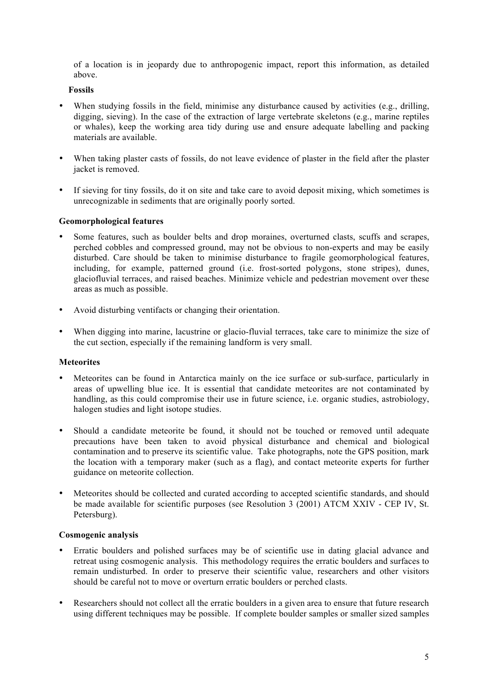of a location is in jeopardy due to anthropogenic impact, report this information, as detailed above.

#### **Fossils**

- When studying fossils in the field, minimise any disturbance caused by activities (e.g., drilling, digging, sieving). In the case of the extraction of large vertebrate skeletons (e.g., marine reptiles or whales), keep the working area tidy during use and ensure adequate labelling and packing materials are available.
- When taking plaster casts of fossils, do not leave evidence of plaster in the field after the plaster jacket is removed.
- If sieving for tiny fossils, do it on site and take care to avoid deposit mixing, which sometimes is unrecognizable in sediments that are originally poorly sorted.

#### **Geomorphological features**

- Some features, such as boulder belts and drop moraines, overturned clasts, scuffs and scrapes, perched cobbles and compressed ground, may not be obvious to non-experts and may be easily disturbed. Care should be taken to minimise disturbance to fragile geomorphological features, including, for example, patterned ground (i.e. frost-sorted polygons, stone stripes), dunes, glaciofluvial terraces, and raised beaches. Minimize vehicle and pedestrian movement over these areas as much as possible.
- Avoid disturbing ventifacts or changing their orientation.
- When digging into marine, lacustrine or glacio-fluvial terraces, take care to minimize the size of the cut section, especially if the remaining landform is very small.

#### **Meteorites**

- Meteorites can be found in Antarctica mainly on the ice surface or sub-surface, particularly in areas of upwelling blue ice. It is essential that candidate meteorites are not contaminated by handling, as this could compromise their use in future science, i.e. organic studies, astrobiology, halogen studies and light isotope studies.
- Should a candidate meteorite be found, it should not be touched or removed until adequate precautions have been taken to avoid physical disturbance and chemical and biological contamination and to preserve its scientific value. Take photographs, note the GPS position, mark the location with a temporary maker (such as a flag), and contact meteorite experts for further guidance on meteorite collection.
- Meteorites should be collected and curated according to accepted scientific standards, and should be made available for scientific purposes (see Resolution 3 (2001) ATCM XXIV - CEP IV, St. Petersburg).

#### **Cosmogenic analysis**

- Erratic boulders and polished surfaces may be of scientific use in dating glacial advance and retreat using cosmogenic analysis. This methodology requires the erratic boulders and surfaces to remain undisturbed. In order to preserve their scientific value, researchers and other visitors should be careful not to move or overturn erratic boulders or perched clasts.
- Researchers should not collect all the erratic boulders in a given area to ensure that future research using different techniques may be possible. If complete boulder samples or smaller sized samples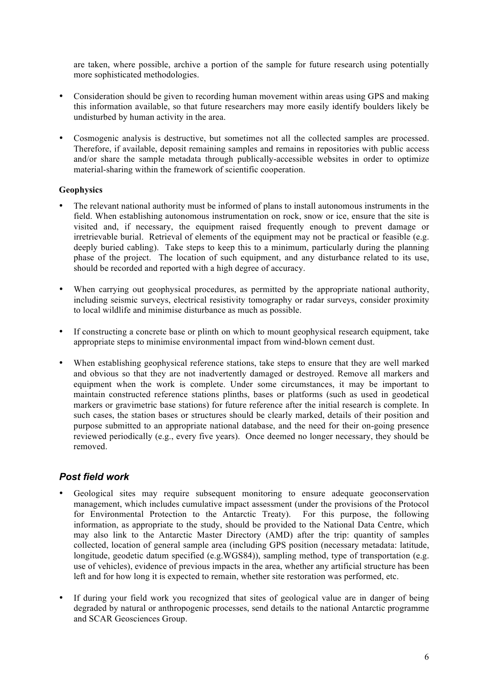are taken, where possible, archive a portion of the sample for future research using potentially more sophisticated methodologies.

- Consideration should be given to recording human movement within areas using GPS and making this information available, so that future researchers may more easily identify boulders likely be undisturbed by human activity in the area.
- Cosmogenic analysis is destructive, but sometimes not all the collected samples are processed. Therefore, if available, deposit remaining samples and remains in repositories with public access and/or share the sample metadata through publically-accessible websites in order to optimize material-sharing within the framework of scientific cooperation.

#### **Geophysics**

- The relevant national authority must be informed of plans to install autonomous instruments in the field. When establishing autonomous instrumentation on rock, snow or ice, ensure that the site is visited and, if necessary, the equipment raised frequently enough to prevent damage or irretrievable burial. Retrieval of elements of the equipment may not be practical or feasible (e.g. deeply buried cabling). Take steps to keep this to a minimum, particularly during the planning phase of the project. The location of such equipment, and any disturbance related to its use, should be recorded and reported with a high degree of accuracy.
- When carrying out geophysical procedures, as permitted by the appropriate national authority, including seismic surveys, electrical resistivity tomography or radar surveys, consider proximity to local wildlife and minimise disturbance as much as possible.
- If constructing a concrete base or plinth on which to mount geophysical research equipment, take appropriate steps to minimise environmental impact from wind-blown cement dust.
- When establishing geophysical reference stations, take steps to ensure that they are well marked and obvious so that they are not inadvertently damaged or destroyed. Remove all markers and equipment when the work is complete. Under some circumstances, it may be important to maintain constructed reference stations plinths, bases or platforms (such as used in geodetical markers or gravimetric base stations) for future reference after the initial research is complete. In such cases, the station bases or structures should be clearly marked, details of their position and purpose submitted to an appropriate national database, and the need for their on-going presence reviewed periodically (e.g., every five years). Once deemed no longer necessary, they should be removed.

### *Post field work*

- Geological sites may require subsequent monitoring to ensure adequate geoconservation management, which includes cumulative impact assessment (under the provisions of the Protocol for Environmental Protection to the Antarctic Treaty). For this purpose, the following information, as appropriate to the study, should be provided to the National Data Centre, which may also link to the Antarctic Master Directory (AMD) after the trip: quantity of samples collected, location of general sample area (including GPS position (necessary metadata: latitude, longitude, geodetic datum specified (e.g.WGS84)), sampling method, type of transportation (e.g. use of vehicles), evidence of previous impacts in the area, whether any artificial structure has been left and for how long it is expected to remain, whether site restoration was performed, etc.
- If during your field work you recognized that sites of geological value are in danger of being degraded by natural or anthropogenic processes, send details to the national Antarctic programme and SCAR Geosciences Group.